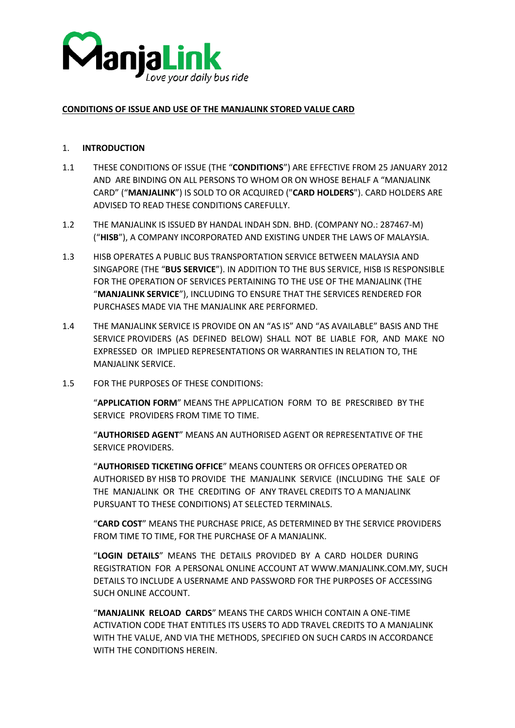

### **CONDITIONS OF ISSUE AND USE OF THE MANJALINK STORED VALUE CARD**

### 1. **INTRODUCTION**

- 1.1 THESE CONDITIONS OF ISSUE (THE "**CONDITIONS**") ARE EFFECTIVE FROM 25 JANUARY 2012 AND ARE BINDING ON ALL PERSONS TO WHOM OR ON WHOSE BEHALF A "MANJALINK CARD" ("**MANJALINK**") IS SOLD TO OR ACQUIRED ("**CARD HOLDERS**"). CARD HOLDERS ARE ADVISED TO READ THESE CONDITIONS CAREFULLY.
- 1.2 THE MANJALINK IS ISSUED BY HANDAL INDAH SDN. BHD. (COMPANY NO.: 287467-M) ("**HISB**"), A COMPANY INCORPORATED AND EXISTING UNDER THE LAWS OF MALAYSIA.
- 1.3 HISB OPERATES A PUBLIC BUS TRANSPORTATION SERVICE BETWEEN MALAYSIA AND SINGAPORE (THE "**BUS SERVICE**"). IN ADDITION TO THE BUS SERVICE, HISB IS RESPONSIBLE FOR THE OPERATION OF SERVICES PERTAINING TO THE USE OF THE MANJALINK (THE "**MANJALINK SERVICE**"), INCLUDING TO ENSURE THAT THE SERVICES RENDERED FOR PURCHASES MADE VIA THE MANJALINK ARE PERFORMED.
- 1.4 THE MANJALINK SERVICE IS PROVIDE ON AN "AS IS" AND "AS AVAILABLE" BASIS AND THE SERVICE PROVIDERS (AS DEFINED BELOW) SHALL NOT BE LIABLE FOR, AND MAKE NO EXPRESSED OR IMPLIED REPRESENTATIONS OR WARRANTIES IN RELATION TO, THE MANJALINK SERVICE.
- 1.5 FOR THE PURPOSES OF THESE CONDITIONS:

"**APPLICATION FORM**" MEANS THE APPLICATION FORM TO BE PRESCRIBED BY THE SERVICE PROVIDERS FROM TIME TO TIME.

"**AUTHORISED AGENT**" MEANS AN AUTHORISED AGENT OR REPRESENTATIVE OF THE SERVICE PROVIDERS.

"**AUTHORISED TICKETING OFFICE**" MEANS COUNTERS OR OFFICES OPERATED OR AUTHORISED BY HISB TO PROVIDE THE MANJALINK SERVICE (INCLUDING THE SALE OF THE MANJALINK OR THE CREDITING OF ANY TRAVEL CREDITS TO A MANJALINK PURSUANT TO THESE CONDITIONS) AT SELECTED TERMINALS.

"**CARD COST**" MEANS THE PURCHASE PRICE, AS DETERMINED BY THE SERVICE PROVIDERS FROM TIME TO TIME, FOR THE PURCHASE OF A MANJALINK.

"**LOGIN DETAILS**" MEANS THE DETAILS PROVIDED BY A CARD HOLDER DURING REGISTRATION FOR A PERSONAL ONLINE ACCOUNT AT WWW.MANJALINK.COM.MY, SUCH DETAILS TO INCLUDE A USERNAME AND PASSWORD FOR THE PURPOSES OF ACCESSING SUCH ONLINE ACCOUNT.

"**MANJALINK RELOAD CARDS**" MEANS THE CARDS WHICH CONTAIN A ONE-TIME ACTIVATION CODE THAT ENTITLES ITS USERS TO ADD TRAVEL CREDITS TO A MANJALINK WITH THE VALUE, AND VIA THE METHODS, SPECIFIED ON SUCH CARDS IN ACCORDANCE WITH THE CONDITIONS HEREIN.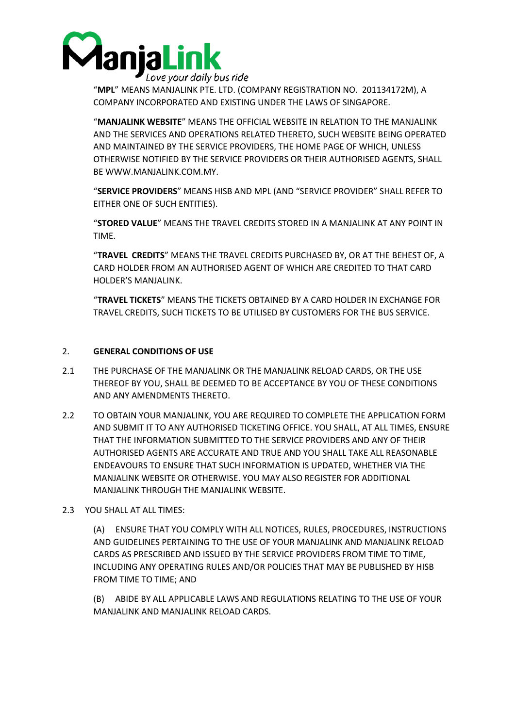

"**MPL**" MEANS MANJALINK PTE. LTD. (COMPANY REGISTRATION NO. 201134172M), A COMPANY INCORPORATED AND EXISTING UNDER THE LAWS OF SINGAPORE.

"**MANJALINK WEBSITE**" MEANS THE OFFICIAL WEBSITE IN RELATION TO THE MANJALINK AND THE SERVICES AND OPERATIONS RELATED THERETO, SUCH WEBSITE BEING OPERATED AND MAINTAINED BY THE SERVICE PROVIDERS, THE HOME PAGE OF WHICH, UNLESS OTHERWISE NOTIFIED BY THE SERVICE PROVIDERS OR THEIR AUTHORISED AGENTS, SHALL BE WWW.MANJALINK.COM.MY.

"**SERVICE PROVIDERS**" MEANS HISB AND MPL (AND "SERVICE PROVIDER" SHALL REFER TO EITHER ONE OF SUCH ENTITIES).

"**STORED VALUE**" MEANS THE TRAVEL CREDITS STORED IN A MANJALINK AT ANY POINT IN TIME.

"**TRAVEL CREDITS**" MEANS THE TRAVEL CREDITS PURCHASED BY, OR AT THE BEHEST OF, A CARD HOLDER FROM AN AUTHORISED AGENT OF WHICH ARE CREDITED TO THAT CARD HOLDER'S MANJALINK.

"**TRAVEL TICKETS**" MEANS THE TICKETS OBTAINED BY A CARD HOLDER IN EXCHANGE FOR TRAVEL CREDITS, SUCH TICKETS TO BE UTILISED BY CUSTOMERS FOR THE BUS SERVICE.

### 2. **GENERAL CONDITIONS OF USE**

- 2.1 THE PURCHASE OF THE MANJALINK OR THE MANJALINK RELOAD CARDS, OR THE USE THEREOF BY YOU, SHALL BE DEEMED TO BE ACCEPTANCE BY YOU OF THESE CONDITIONS AND ANY AMENDMENTS THERETO.
- 2.2 TO OBTAIN YOUR MANJALINK, YOU ARE REQUIRED TO COMPLETE THE APPLICATION FORM AND SUBMIT IT TO ANY AUTHORISED TICKETING OFFICE. YOU SHALL, AT ALL TIMES, ENSURE THAT THE INFORMATION SUBMITTED TO THE SERVICE PROVIDERS AND ANY OF THEIR AUTHORISED AGENTS ARE ACCURATE AND TRUE AND YOU SHALL TAKE ALL REASONABLE ENDEAVOURS TO ENSURE THAT SUCH INFORMATION IS UPDATED, WHETHER VIA THE MANJALINK WEBSITE OR OTHERWISE. YOU MAY ALSO REGISTER FOR ADDITIONAL MANJALINK THROUGH THE MANJALINK WEBSITE.
- 2.3 YOU SHALL AT ALL TIMES:

(A) ENSURE THAT YOU COMPLY WITH ALL NOTICES, RULES, PROCEDURES, INSTRUCTIONS AND GUIDELINES PERTAINING TO THE USE OF YOUR MANJALINK AND MANJALINK RELOAD CARDS AS PRESCRIBED AND ISSUED BY THE SERVICE PROVIDERS FROM TIME TO TIME, INCLUDING ANY OPERATING RULES AND/OR POLICIES THAT MAY BE PUBLISHED BY HISB FROM TIME TO TIME; AND

(B) ABIDE BY ALL APPLICABLE LAWS AND REGULATIONS RELATING TO THE USE OF YOUR MANJALINK AND MANJALINK RELOAD CARDS.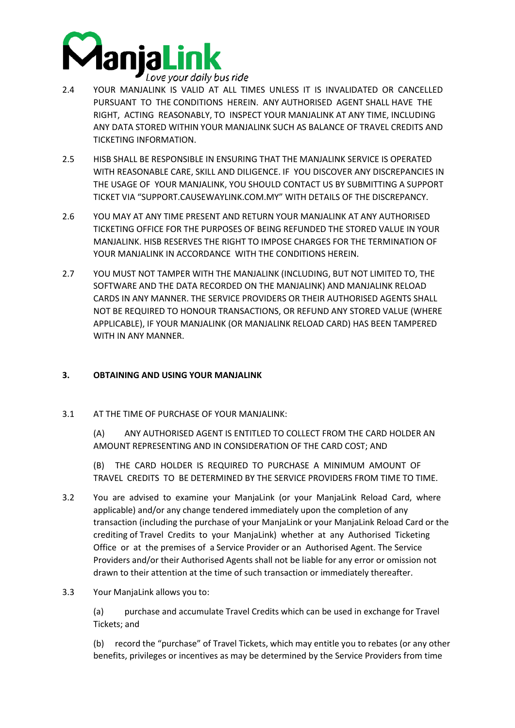

- 2.4 YOUR MANJALINK IS VALID AT ALL TIMES UNLESS IT IS INVALIDATED OR CANCELLED PURSUANT TO THE CONDITIONS HEREIN. ANY AUTHORISED AGENT SHALL HAVE THE RIGHT, ACTING REASONABLY, TO INSPECT YOUR MANJALINK AT ANY TIME, INCLUDING ANY DATA STORED WITHIN YOUR MANJALINK SUCH AS BALANCE OF TRAVEL CREDITS AND TICKETING INFORMATION.
- 2.5 HISB SHALL BE RESPONSIBLE IN ENSURING THAT THE MANJALINK SERVICE IS OPERATED WITH REASONABLE CARE, SKILL AND DILIGENCE. IF YOU DISCOVER ANY DISCREPANCIES IN THE USAGE OF YOUR MANJALINK, YOU SHOULD CONTACT US BY SUBMITTING A SUPPORT TICKET VIA "SUPPORT.CAUSEWAYLINK.COM.MY" WITH DETAILS OF THE DISCREPANCY.
- 2.6 YOU MAY AT ANY TIME PRESENT AND RETURN YOUR MANJALINK AT ANY AUTHORISED TICKETING OFFICE FOR THE PURPOSES OF BEING REFUNDED THE STORED VALUE IN YOUR MANJALINK. HISB RESERVES THE RIGHT TO IMPOSE CHARGES FOR THE TERMINATION OF YOUR MANJALINK IN ACCORDANCE WITH THE CONDITIONS HEREIN.
- 2.7 YOU MUST NOT TAMPER WITH THE MANJALINK (INCLUDING, BUT NOT LIMITED TO, THE SOFTWARE AND THE DATA RECORDED ON THE MANJALINK) AND MANJALINK RELOAD CARDS IN ANY MANNER. THE SERVICE PROVIDERS OR THEIR AUTHORISED AGENTS SHALL NOT BE REQUIRED TO HONOUR TRANSACTIONS, OR REFUND ANY STORED VALUE (WHERE APPLICABLE), IF YOUR MANJALINK (OR MANJALINK RELOAD CARD) HAS BEEN TAMPERED WITH IN ANY MANNER.

## **3. OBTAINING AND USING YOUR MANJALINK**

3.1 AT THE TIME OF PURCHASE OF YOUR MANJALINK:

(A) ANY AUTHORISED AGENT IS ENTITLED TO COLLECT FROM THE CARD HOLDER AN AMOUNT REPRESENTING AND IN CONSIDERATION OF THE CARD COST; AND

(B) THE CARD HOLDER IS REQUIRED TO PURCHASE A MINIMUM AMOUNT OF TRAVEL CREDITS TO BE DETERMINED BY THE SERVICE PROVIDERS FROM TIME TO TIME.

- 3.2 You are advised to examine your ManjaLink (or your ManjaLink Reload Card, where applicable) and/or any change tendered immediately upon the completion of any transaction (including the purchase of your ManjaLink or your ManjaLink Reload Card or the crediting of Travel Credits to your ManjaLink) whether at any Authorised Ticketing Office or at the premises of a Service Provider or an Authorised Agent. The Service Providers and/or their Authorised Agents shall not be liable for any error or omission not drawn to their attention at the time of such transaction or immediately thereafter.
- 3.3 Your ManjaLink allows you to:

(a) purchase and accumulate Travel Credits which can be used in exchange for Travel Tickets; and

(b) record the "purchase" of Travel Tickets, which may entitle you to rebates (or any other benefits, privileges or incentives as may be determined by the Service Providers from time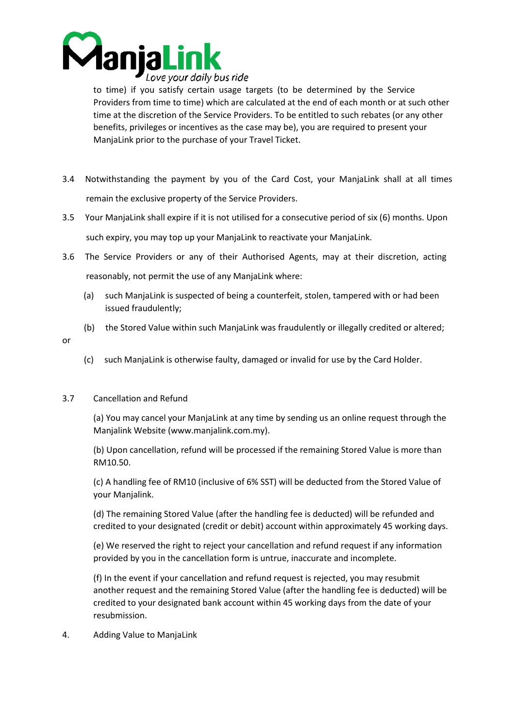

to time) if you satisfy certain usage targets (to be determined by the Service Providers from time to time) which are calculated at the end of each month or at such other time at the discretion of the Service Providers. To be entitled to such rebates (or any other benefits, privileges or incentives as the case may be), you are required to present your ManjaLink prior to the purchase of your Travel Ticket.

- 3.4 Notwithstanding the payment by you of the Card Cost, your ManjaLink shall at all times remain the exclusive property of the Service Providers.
- 3.5 Your ManjaLink shall expire if it is not utilised for a consecutive period of six (6) months. Upon such expiry, you may top up your ManjaLink to reactivate your ManjaLink.
- 3.6 The Service Providers or any of their Authorised Agents, may at their discretion, acting reasonably, not permit the use of any ManjaLink where:
	- (a) such ManjaLink is suspected of being a counterfeit, stolen, tampered with or had been issued fraudulently;
	- (b) the Stored Value within such ManjaLink was fraudulently or illegally credited or altered;
- or
- (c) such ManjaLink is otherwise faulty, damaged or invalid for use by the Card Holder.

## 3.7 Cancellation and Refund

(a) You may cancel your ManjaLink at any time by sending us an online request through the Manjalink Website (www.manjalink.com.my).

(b) Upon cancellation, refund will be processed if the remaining Stored Value is more than RM10.50.

(c) A handling fee of RM10 (inclusive of 6% SST) will be deducted from the Stored Value of your Manjalink.

(d) The remaining Stored Value (after the handling fee is deducted) will be refunded and credited to your designated (credit or debit) account within approximately 45 working days.

(e) We reserved the right to reject your cancellation and refund request if any information provided by you in the cancellation form is untrue, inaccurate and incomplete.

(f) In the event if your cancellation and refund request is rejected, you may resubmit another request and the remaining Stored Value (after the handling fee is deducted) will be credited to your designated bank account within 45 working days from the date of your resubmission.

4. Adding Value to ManjaLink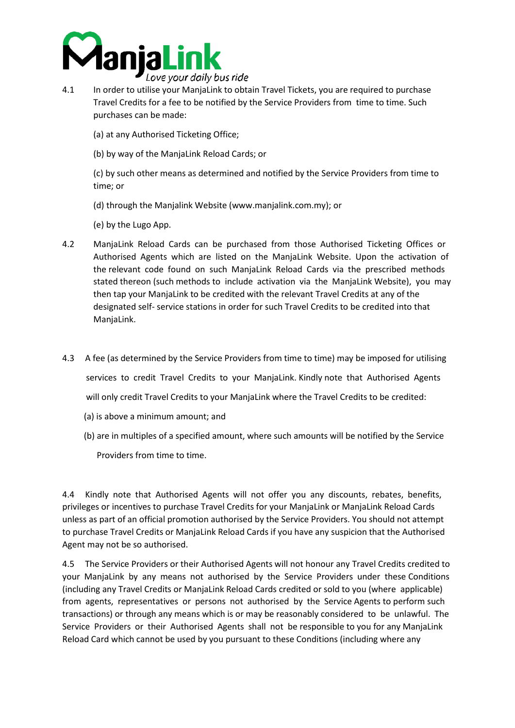

- 4.1 In order to utilise your ManjaLink to obtain Travel Tickets, you are required to purchase Travel Credits for a fee to be notified by the Service Providers from time to time. Such purchases can be made:
	- (a) at any Authorised Ticketing Office;
	- (b) by way of the ManjaLink Reload Cards; or

(c) by such other means as determined and notified by the Service Providers from time to time; or

- (d) through the Manjalink Website (www.manjalink.com.my); or
- (e) by the Lugo App.
- 4.2 ManjaLink Reload Cards can be purchased from those Authorised Ticketing Offices or Authorised Agents which are listed on the ManjaLink Website. Upon the activation of the relevant code found on such ManjaLink Reload Cards via the prescribed methods stated thereon (such methods to include activation via the ManjaLink Website), you may then tap your ManjaLink to be credited with the relevant Travel Credits at any of the designated self- service stations in order for such Travel Credits to be credited into that ManjaLink.
- 4.3 A fee (as determined by the Service Providers from time to time) may be imposed for utilising services to credit Travel Credits to your ManjaLink. Kindly note that Authorised Agents will only credit Travel Credits to your ManjaLink where the Travel Credits to be credited:
	- (a) is above a minimum amount; and
	- (b) are in multiples of a specified amount, where such amounts will be notified by the Service

Providers from time to time.

4.4 Kindly note that Authorised Agents will not offer you any discounts, rebates, benefits, privileges or incentives to purchase Travel Credits for your ManjaLink or ManjaLink Reload Cards unless as part of an official promotion authorised by the Service Providers. You should not attempt to purchase Travel Credits or ManjaLink Reload Cards if you have any suspicion that the Authorised Agent may not be so authorised.

4.5 The Service Providers or their Authorised Agents will not honour any Travel Credits credited to your ManjaLink by any means not authorised by the Service Providers under these Conditions (including any Travel Credits or ManjaLink Reload Cards credited or sold to you (where applicable) from agents, representatives or persons not authorised by the Service Agents to perform such transactions) or through any means which is or may be reasonably considered to be unlawful. The Service Providers or their Authorised Agents shall not be responsible to you for any ManjaLink Reload Card which cannot be used by you pursuant to these Conditions (including where any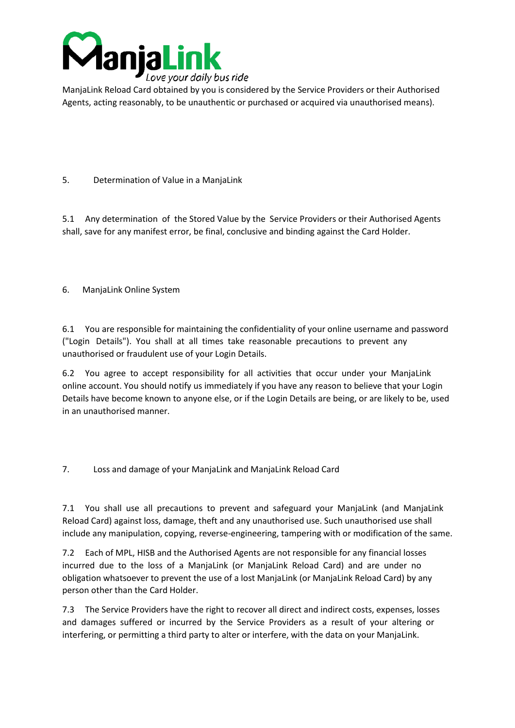

ManjaLink Reload Card obtained by you is considered by the Service Providers or their Authorised Agents, acting reasonably, to be unauthentic or purchased or acquired via unauthorised means).

# 5. Determination of Value in a ManjaLink

5.1 Any determination of the Stored Value by the Service Providers or their Authorised Agents shall, save for any manifest error, be final, conclusive and binding against the Card Holder.

## 6. ManjaLink Online System

6.1 You are responsible for maintaining the confidentiality of your online username and password ("Login Details"). You shall at all times take reasonable precautions to prevent any unauthorised or fraudulent use of your Login Details.

6.2 You agree to accept responsibility for all activities that occur under your ManjaLink online account. You should notify us immediately if you have any reason to believe that your Login Details have become known to anyone else, or if the Login Details are being, or are likely to be, used in an unauthorised manner.

7. Loss and damage of your ManjaLink and ManjaLink Reload Card

7.1 You shall use all precautions to prevent and safeguard your ManjaLink (and ManjaLink Reload Card) against loss, damage, theft and any unauthorised use. Such unauthorised use shall include any manipulation, copying, reverse-engineering, tampering with or modification of the same.

7.2 Each of MPL, HISB and the Authorised Agents are not responsible for any financial losses incurred due to the loss of a ManjaLink (or ManjaLink Reload Card) and are under no obligation whatsoever to prevent the use of a lost ManjaLink (or ManjaLink Reload Card) by any person other than the Card Holder.

7.3 The Service Providers have the right to recover all direct and indirect costs, expenses, losses and damages suffered or incurred by the Service Providers as a result of your altering or interfering, or permitting a third party to alter or interfere, with the data on your ManjaLink.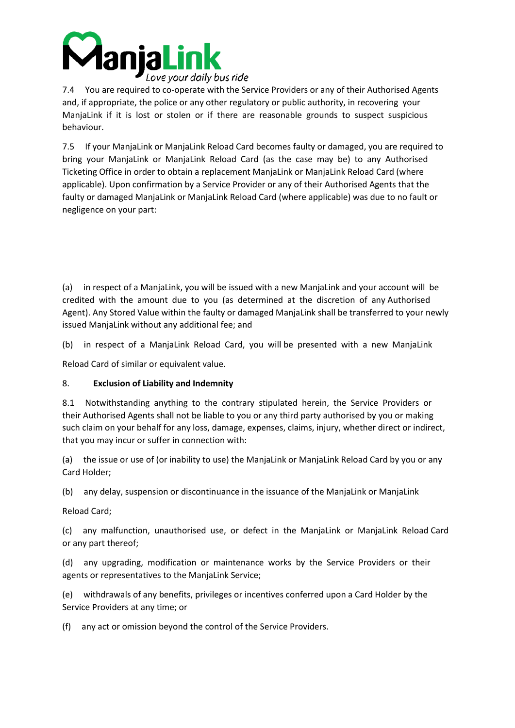

7.4 You are required to co-operate with the Service Providers or any of their Authorised Agents and, if appropriate, the police or any other regulatory or public authority, in recovering your ManjaLink if it is lost or stolen or if there are reasonable grounds to suspect suspicious behaviour.

7.5 If your ManjaLink or ManjaLink Reload Card becomes faulty or damaged, you are required to bring your ManjaLink or ManjaLink Reload Card (as the case may be) to any Authorised Ticketing Office in order to obtain a replacement ManjaLink or ManjaLink Reload Card (where applicable). Upon confirmation by a Service Provider or any of their Authorised Agents that the faulty or damaged ManjaLink or ManjaLink Reload Card (where applicable) was due to no fault or negligence on your part:

(a) in respect of a ManjaLink, you will be issued with a new ManjaLink and your account will be credited with the amount due to you (as determined at the discretion of any Authorised Agent). Any Stored Value within the faulty or damaged ManjaLink shall be transferred to your newly issued ManjaLink without any additional fee; and

(b) in respect of a ManjaLink Reload Card, you will be presented with a new ManjaLink

Reload Card of similar or equivalent value.

## 8. **Exclusion of Liability and Indemnity**

8.1 Notwithstanding anything to the contrary stipulated herein, the Service Providers or their Authorised Agents shall not be liable to you or any third party authorised by you or making such claim on your behalf for any loss, damage, expenses, claims, injury, whether direct or indirect, that you may incur or suffer in connection with:

(a) the issue or use of (or inability to use) the ManjaLink or ManjaLink Reload Card by you or any Card Holder;

(b) any delay, suspension or discontinuance in the issuance of the ManjaLink or ManjaLink

Reload Card;

(c) any malfunction, unauthorised use, or defect in the ManjaLink or ManjaLink Reload Card or any part thereof;

(d) any upgrading, modification or maintenance works by the Service Providers or their agents or representatives to the ManjaLink Service;

(e) withdrawals of any benefits, privileges or incentives conferred upon a Card Holder by the Service Providers at any time; or

(f) any act or omission beyond the control of the Service Providers.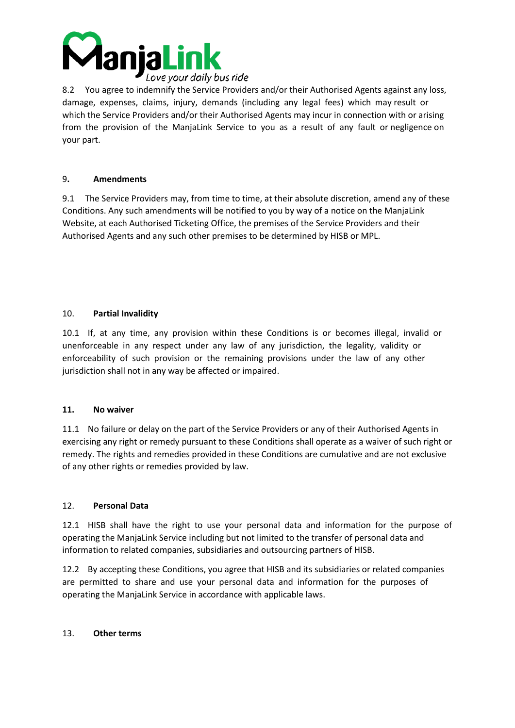

8.2 You agree to indemnify the Service Providers and/or their Authorised Agents against any loss, damage, expenses, claims, injury, demands (including any legal fees) which may result or which the Service Providers and/or their Authorised Agents may incur in connection with or arising from the provision of the ManjaLink Service to you as a result of any fault or negligence on your part.

### 9**. Amendments**

9.1 The Service Providers may, from time to time, at their absolute discretion, amend any of these Conditions. Any such amendments will be notified to you by way of a notice on the ManjaLink Website, at each Authorised Ticketing Office, the premises of the Service Providers and their Authorised Agents and any such other premises to be determined by HISB or MPL.

### 10. **Partial Invalidity**

10.1 If, at any time, any provision within these Conditions is or becomes illegal, invalid or unenforceable in any respect under any law of any jurisdiction, the legality, validity or enforceability of such provision or the remaining provisions under the law of any other jurisdiction shall not in any way be affected or impaired.

#### **11. No waiver**

11.1 No failure or delay on the part of the Service Providers or any of their Authorised Agents in exercising any right or remedy pursuant to these Conditions shall operate as a waiver of such right or remedy. The rights and remedies provided in these Conditions are cumulative and are not exclusive of any other rights or remedies provided by law.

## 12. **Personal Data**

12.1 HISB shall have the right to use your personal data and information for the purpose of operating the ManjaLink Service including but not limited to the transfer of personal data and information to related companies, subsidiaries and outsourcing partners of HISB.

12.2 By accepting these Conditions, you agree that HISB and its subsidiaries or related companies are permitted to share and use your personal data and information for the purposes of operating the ManjaLink Service in accordance with applicable laws.

#### 13. **Other terms**